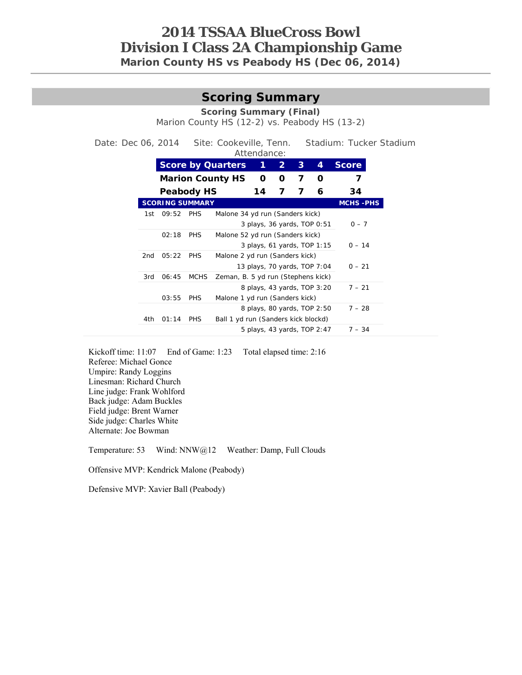### **2014 TSSAA BlueCross Bowl Division I Class 2A Championship Game Marion County HS vs Peabody HS (Dec 06, 2014)**

# **Scoring Summary**

**Scoring Summary (Final)** 

Marion County HS (12-2) vs. Peabody HS (13-2)

Date: Dec 06, 2014 Site: Cookeville, Tenn. Stadium: Tucker Stadium Attendance:

| 1<br><b>Score by Quarters</b><br>4<br>3<br><b>Score</b><br>$\mathbf{2}$<br>7<br><b>Marion County HS</b><br>O<br>O<br>O<br>7<br><b>Peabody HS</b><br>7<br>7<br>14<br>6<br>34<br><b>SCORING SUMMARY</b><br>09:52<br><b>PHS</b><br>Malone 34 yd run (Sanders kick)<br>$0 - 7$<br>3 plays, 36 yards, TOP 0:51<br>02:18<br><b>PHS</b><br>Malone 52 yd run (Sanders kick)<br>3 plays, 61 yards, TOP 1:15<br>05:22<br><b>PHS</b><br>Malone 2 yd run (Sanders kick)<br>13 plays, 70 yards, TOP 7:04<br>$0 - 21$<br><b>MCHS</b><br>06:45<br>Zeman, B. 5 yd run (Stephens kick)<br>8 plays, 43 yards, TOP 3:20<br>$7 - 21$<br>03:55<br><b>PHS</b><br>Malone 1 yd run (Sanders kick)<br>8 plays, 80 yards, TOP 2:50<br>Ball 1 yd run (Sanders kick blockd)<br>01:14<br><b>PHS</b><br>5 plays, 43 yards, TOP 2:47 |     |  | AUGHUUHUU. |  |  |
|-------------------------------------------------------------------------------------------------------------------------------------------------------------------------------------------------------------------------------------------------------------------------------------------------------------------------------------------------------------------------------------------------------------------------------------------------------------------------------------------------------------------------------------------------------------------------------------------------------------------------------------------------------------------------------------------------------------------------------------------------------------------------------------------------------|-----|--|------------|--|--|
| $0 - 14$<br>$7 - 28$<br>$7 - 34$                                                                                                                                                                                                                                                                                                                                                                                                                                                                                                                                                                                                                                                                                                                                                                      |     |  |            |  |  |
|                                                                                                                                                                                                                                                                                                                                                                                                                                                                                                                                                                                                                                                                                                                                                                                                       |     |  |            |  |  |
| <b>MCHS-PHS</b>                                                                                                                                                                                                                                                                                                                                                                                                                                                                                                                                                                                                                                                                                                                                                                                       |     |  |            |  |  |
|                                                                                                                                                                                                                                                                                                                                                                                                                                                                                                                                                                                                                                                                                                                                                                                                       |     |  |            |  |  |
|                                                                                                                                                                                                                                                                                                                                                                                                                                                                                                                                                                                                                                                                                                                                                                                                       | 1st |  |            |  |  |
|                                                                                                                                                                                                                                                                                                                                                                                                                                                                                                                                                                                                                                                                                                                                                                                                       |     |  |            |  |  |
|                                                                                                                                                                                                                                                                                                                                                                                                                                                                                                                                                                                                                                                                                                                                                                                                       |     |  |            |  |  |
|                                                                                                                                                                                                                                                                                                                                                                                                                                                                                                                                                                                                                                                                                                                                                                                                       |     |  |            |  |  |
|                                                                                                                                                                                                                                                                                                                                                                                                                                                                                                                                                                                                                                                                                                                                                                                                       | 2nd |  |            |  |  |
|                                                                                                                                                                                                                                                                                                                                                                                                                                                                                                                                                                                                                                                                                                                                                                                                       |     |  |            |  |  |
|                                                                                                                                                                                                                                                                                                                                                                                                                                                                                                                                                                                                                                                                                                                                                                                                       | 3rd |  |            |  |  |
|                                                                                                                                                                                                                                                                                                                                                                                                                                                                                                                                                                                                                                                                                                                                                                                                       |     |  |            |  |  |
|                                                                                                                                                                                                                                                                                                                                                                                                                                                                                                                                                                                                                                                                                                                                                                                                       |     |  |            |  |  |
|                                                                                                                                                                                                                                                                                                                                                                                                                                                                                                                                                                                                                                                                                                                                                                                                       |     |  |            |  |  |
|                                                                                                                                                                                                                                                                                                                                                                                                                                                                                                                                                                                                                                                                                                                                                                                                       | 4th |  |            |  |  |
|                                                                                                                                                                                                                                                                                                                                                                                                                                                                                                                                                                                                                                                                                                                                                                                                       |     |  |            |  |  |

Kickoff time: 11:07 End of Game: 1:23 Total elapsed time: 2:16 Referee: Michael Gonce Umpire: Randy Loggins Linesman: Richard Church Line judge: Frank Wohlford Back judge: Adam Buckles Field judge: Brent Warner Side judge: Charles White Alternate: Joe Bowman

Temperature: 53 Wind: NNW@12 Weather: Damp, Full Clouds

Offensive MVP: Kendrick Malone (Peabody)

Defensive MVP: Xavier Ball (Peabody)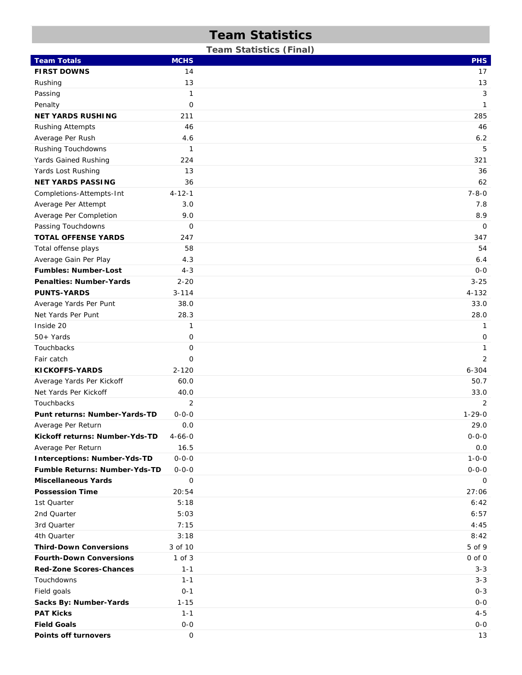# **Team Statistics**

**Team Statistics (Final)** 

| <b>Team Totals</b>                                                          | <b>MCHS</b>    | <b>PHS</b>         |
|-----------------------------------------------------------------------------|----------------|--------------------|
| <b>FIRST DOWNS</b>                                                          | 14             | 17                 |
| Rushing                                                                     | 13             | 13                 |
| Passing                                                                     | 1              | 3                  |
| Penalty                                                                     | $\mathsf O$    | $\mathbf{1}$       |
| <b>NET YARDS RUSHING</b>                                                    | 211            | 285                |
| <b>Rushing Attempts</b>                                                     | 46             | 46                 |
| Average Per Rush                                                            | 4.6            | 6.2                |
| Rushing Touchdowns                                                          | 1              | 5                  |
| Yards Gained Rushing                                                        | 224            | 321                |
| Yards Lost Rushing                                                          | 13             | 36                 |
| <b>NET YARDS PASSING</b>                                                    | 36             | 62                 |
| Completions-Attempts-Int                                                    | $4 - 12 - 1$   | $7 - 8 - 0$        |
| Average Per Attempt                                                         | 3.0            | 7.8                |
| Average Per Completion                                                      | 9.0            | 8.9                |
| Passing Touchdowns                                                          | $\mathbf 0$    | $\mathbf 0$        |
| <b>TOTAL OFFENSE YARDS</b>                                                  | 247            | 347                |
| Total offense plays                                                         | 58             | 54                 |
| Average Gain Per Play                                                       | 4.3            | 6.4                |
| <b>Fumbles: Number-Lost</b>                                                 | $4 - 3$        | $0-0$              |
| <b>Penalties: Number-Yards</b>                                              | $2 - 20$       | $3 - 25$           |
| <b>PUNTS-YARDS</b>                                                          | $3 - 114$      | $4 - 132$          |
| Average Yards Per Punt                                                      | 38.0           | 33.0               |
| Net Yards Per Punt                                                          | 28.3           | 28.0               |
| Inside 20                                                                   | 1              | 1                  |
| $50+Yards$                                                                  | 0              | $\mathbf 0$        |
| Touchbacks                                                                  | 0              | 1                  |
| Fair catch                                                                  | $\mathbf{O}$   | 2                  |
| <b>KICKOFFS-YARDS</b>                                                       | $2 - 120$      | $6 - 304$          |
| Average Yards Per Kickoff                                                   | 60.0           | 50.7               |
| Net Yards Per Kickoff                                                       | 40.0           | 33.0               |
| Touchbacks                                                                  | $\overline{2}$ | 2                  |
| Punt returns: Number-Yards-TD                                               | $0 - 0 - 0$    | $1 - 29 - 0$       |
| Average Per Return                                                          | 0.0            | 29.0               |
|                                                                             | $4 - 66 - 0$   | $0 - 0 - 0$        |
| Kickoff returns: Number-Yds-TD<br>Average Per Return                        | 16.5           |                    |
|                                                                             | $0 - 0 - 0$    | 0.0<br>$1 - 0 - 0$ |
| <b>Interceptions: Number-Yds-TD</b><br><b>Fumble Returns: Number-Yds-TD</b> | $0 - 0 - 0$    | $0 - 0 - 0$        |
| <b>Miscellaneous Yards</b>                                                  |                |                    |
| <b>Possession Time</b>                                                      | 0              | 0<br>27:06         |
| 1st Quarter                                                                 | 20:54<br>5:18  | 6:42               |
|                                                                             |                |                    |
| 2nd Quarter<br>3rd Quarter                                                  | 5:03           | 6:57               |
|                                                                             | 7:15           | 4:45               |
| 4th Quarter                                                                 | 3:18           | 8:42               |
| <b>Third-Down Conversions</b>                                               | 3 of 10        | 5 of 9             |
| <b>Fourth-Down Conversions</b>                                              | $1$ of $3$     | $0$ of $0$         |
| <b>Red-Zone Scores-Chances</b>                                              | $1 - 1$        | $3 - 3$            |
| Touchdowns                                                                  | $1 - 1$        | $3 - 3$            |
| Field goals                                                                 | $0 - 1$        | $0 - 3$            |
| Sacks By: Number-Yards                                                      | $1 - 15$       | $0 - 0$            |
| <b>PAT Kicks</b>                                                            | $1 - 1$        | $4 - 5$            |
| <b>Field Goals</b>                                                          | $0-0$          | $0-0$              |
| <b>Points off turnovers</b>                                                 | 0              | 13                 |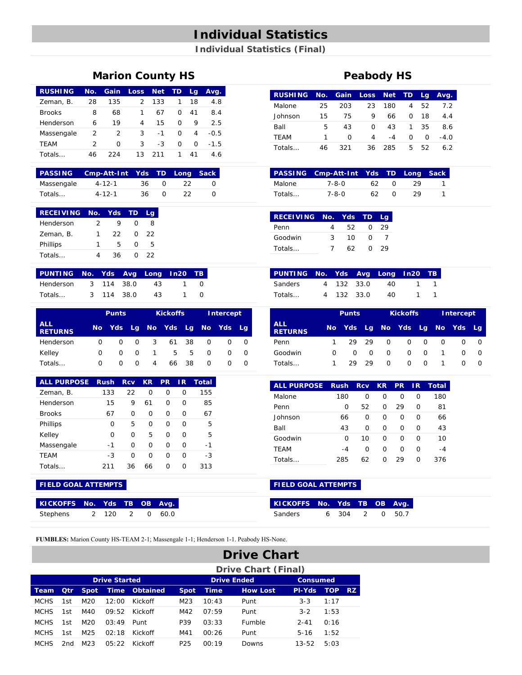## **Individual Statistics**

**Individual Statistics (Final)** 

### **Marion County HS Peabody HS**

| <b>RUSHING</b> | No. | Gain          | <b>Loss</b>   | <b>Net</b> | TD | Lg. | Avg.   |
|----------------|-----|---------------|---------------|------------|----|-----|--------|
| Zeman, B.      | 28  | 135           | $\mathcal{P}$ | 133        | 1  | 18  | 4.8    |
| <b>Brooks</b>  | 8   | 68            | 1             | 67         | O  | 41  | 8.4    |
| Henderson      | 6   | 19            | 4             | 15         | O  | 9   | 2.5    |
| Massengale     | 2   | $\mathcal{P}$ | 3             | $-1$       | O  | 4   | $-0.5$ |
| TEAM           | 2   | O             | 3             | -3         | O  | O   | $-1.5$ |
| Totals         | 46  | つつ4           | 13            | 211        | 1  | 41  | 4.6    |

|            | <b>PASSING</b> Cmp-Att-Int Yds TD Long Sack |     |   |    |  |
|------------|---------------------------------------------|-----|---|----|--|
| Massengale | $4 - 12 - 1$                                | 36. |   | 22 |  |
| Totals     | $4 - 12 - 1$                                | 36  | n |    |  |

| <b>RECEIVING</b> | No. | - Yds | .TD | La |
|------------------|-----|-------|-----|----|
| Henderson        | 2   |       | O   | 8  |
| Zeman, B.        | 1   | つつ    | ∩   | つつ |
| Phillips         | 1   | 5     | O   | 5  |
| Totals           |     | 36    | O   | つつ |

| PUNTING No. Yds Avg Long In20 TB |            |    |                  |
|----------------------------------|------------|----|------------------|
| Henderson                        | 3 114 38.0 | 43 | $\left( \right)$ |
| Totals                           | 3 114 38.0 | 43 | O                |

|                              |     | <b>Punts</b> |              |   | <b>Kickoffs</b>  |    |   | Intercept |      |  |
|------------------------------|-----|--------------|--------------|---|------------------|----|---|-----------|------|--|
| <b>ALL</b><br><b>RETURNS</b> | No. | Yds          | Lg -         |   | No Yds Lg No Yds |    |   |           | - La |  |
| Henderson                    | O   | <sup>o</sup> | <sup>o</sup> | 3 | 61               | 38 | O |           |      |  |
| Kelley                       | O   | $\Omega$     | $\Omega$     | 1 | 5.               | 5. | O |           | 0    |  |
| Totals                       | Ω   | O            | O            | 4 | 66.              | 38 | O |           |      |  |

| <b>ALL PURPOSE</b> | <b>Rush</b> | <b>Rcv</b> | <b>KR</b> | <b>PR</b> | 1R | Total |
|--------------------|-------------|------------|-----------|-----------|----|-------|
| Zeman, B.          | 133         | 22         | O         | O         | Ω  | 155   |
| Henderson          | 15          | 9          | 61        | O         | O  | 85    |
| <b>Brooks</b>      | 67          | O          | O         | O         | O  | 67    |
| Phillips           | O           | 5          | O         | O         | U  | 5     |
| Kelley             | O           | O          | 5         | O         | O  | 5     |
| Massengale         | -1          | O          | O         | O         | O  | $-1$  |
| TEAM               | -3          | O          | O         | O         | O  | -3    |
| Totals             | 211         | 36         | 66        | O         | ∩  | 313   |

### **FIELD GOAL ATTEMPTS FIELD GOAL ATTEMPTS**

| KICKOFFS No. Yds TB OB Avg. |       |               |          |       |
|-----------------------------|-------|---------------|----------|-------|
| Stephens                    | - 120 | $\mathcal{L}$ | $\Omega$ | -60 O |

| <b>RUSHING</b> | No. |     | Gain Loss Net |      | <b>TD</b> | La | Avg. |
|----------------|-----|-----|---------------|------|-----------|----|------|
| Malone         | 25  | 203 | 23            | 180  | 4         | 52 | 7.2  |
| Johnson        | 15  | 75  | 9             | 66   | O         | 18 | 44   |
| Ball           | 5   | 43  | O             | 43   | 1         | 35 | 8.6  |
| <b>TEAM</b>    | 1   | O   | 4             | $-4$ | O         | ∩  | -4.0 |
| Totals         | 46  | 321 | 36            | 285  | 5.        | 52 | 6.2  |

|        | <b>PASSING Cmp-Att-Int Yds TD Long Sack</b> |     |    |  |
|--------|---------------------------------------------|-----|----|--|
| Malone | 7-8-0                                       | 62. | 29 |  |
| Totals | 7-8-0                                       | 62  | 29 |  |

| <b>RECEIVING No. Yds TD</b> |   |     |          | La  |
|-----------------------------|---|-----|----------|-----|
| Penn                        |   | 52. | $\Omega$ | -29 |
| Goodwin                     | 3 | 10  | O        |     |
| Totals                      |   | 62  |          | 29  |

| PUNTING No. Yds Avg Long In20 TB |            |      |              |  |
|----------------------------------|------------|------|--------------|--|
| Sanders                          | 4 132 33.0 | - 40 | $\sim$ 1     |  |
| Totals                           | 4 132 33.0 | -40  | $\mathbf{1}$ |  |

|                              |     | <b>Punts</b>               |          |              | <b>Kickoffs</b> |              | Intercept |   |                  |
|------------------------------|-----|----------------------------|----------|--------------|-----------------|--------------|-----------|---|------------------|
| <b>ALL</b><br><b>RETURNS</b> | No. | Yds Lg No Yds Lg No Yds Lg |          |              |                 |              |           |   |                  |
| Penn                         |     |                            | 29 29    | <sup>o</sup> | Ω               | <sup>o</sup> | O         |   | 0                |
| Goodwin                      | O   | O                          | $\Omega$ | O            | Ω               | <sup>o</sup> |           | O | $\Omega$         |
| Totals                       |     | 29.                        | 29       | O            | O               | $\Omega$     |           |   | $\left( \right)$ |

| <b>ALL PURPOSE</b> | <b>Rush</b> | <b>Rcv</b> | <b>KR</b> | <b>PR</b> | 1R | Total |
|--------------------|-------------|------------|-----------|-----------|----|-------|
| Malone             | 180         | O          | Ω         | O         | O  | 180   |
| Penn               | O           | 52         | O         | 29        | O  | 81    |
| Johnson            | 66          | O          | O         | O         | O  | 66    |
| Ball               | 43          | O          | O         | Ω         | O  | 43    |
| Goodwin            | O           | 10         | O         | O         | O  | 10    |
| <b>TEAM</b>        | $-4$        | O          | O         | O         | Ω  | -4    |
| Totals             | 285         | 62         | O         | 29        | Ω  | 376   |

| KICKOFFS No. Yds TB OB Avg. |         |  |        |
|-----------------------------|---------|--|--------|
| Sanders                     | 6 304 2 |  | 0 50.7 |

**FUMBLES:** Marion County HS-TEAM 2-1; Massengale 1-1; Henderson 1-1. Peabody HS-None.

|             |            |                 |                      |                      |                 |             | <b>Drive Chart</b>         |                 |            |     |
|-------------|------------|-----------------|----------------------|----------------------|-----------------|-------------|----------------------------|-----------------|------------|-----|
|             |            |                 |                      |                      |                 |             | <b>Drive Chart (Final)</b> |                 |            |     |
|             |            |                 | <b>Drive Started</b> |                      |                 |             | <b>Drive Ended</b>         | <b>Consumed</b> |            |     |
| Team        | <b>Otr</b> | <b>Spot</b>     |                      | <b>Time Obtained</b> | <b>Spot</b>     | <b>Time</b> | <b>How Lost</b>            | <b>PI-Yds</b>   | <b>TOP</b> | -RZ |
| <b>MCHS</b> | 1st        | M <sub>20</sub> | 12:00                | Kickoff              | M <sub>23</sub> | 10:43       | Punt                       | $3 - 3$         | 1:17       |     |
| <b>MCHS</b> | 1st        | M4O             | 09.52                | Kickoff              | M42             | 07:59       | Punt                       | $3 - 2$         | 1:53       |     |
| <b>MCHS</b> | 1st        | M <sub>20</sub> | 03:49                | Punt                 | P39             | 03:33       | <b>Fumble</b>              | $2 - 41$        | 0:16       |     |
| <b>MCHS</b> | 1st        | M <sub>25</sub> | 02:18                | Kickoff              | M41             | 00:26       | Punt                       | $5 - 16$        | 1:52       |     |
| <b>MCHS</b> | 2nd        | M <sub>23</sub> | 05:22                | Kickoff              | P <sub>25</sub> | 00:19       | Downs                      | $13 - 52$       | 5:03       |     |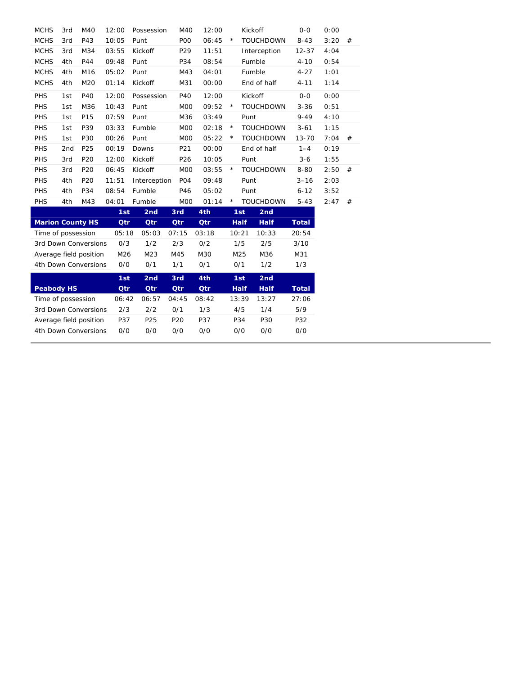| <b>MCHS</b>             | 3rd             | M40                    | 12:00 | Possession   | M40              | 12:00      |         | Kickoff                    | $O-O$        | 0:00 |   |
|-------------------------|-----------------|------------------------|-------|--------------|------------------|------------|---------|----------------------------|--------------|------|---|
| <b>MCHS</b>             | 3rd             | P43                    | 10:05 | Punt         | P <sub>O</sub>   | 06:45      | $\star$ | <b>TOUCHDOWN</b>           | $8 - 43$     | 3:20 | # |
| <b>MCHS</b>             | 3rd             | M34                    | 03:55 | Kickoff      | P <sub>29</sub>  | 11:51      |         | Interception               | $12 - 37$    | 4:04 |   |
| <b>MCHS</b>             | 4th             | P44                    | 09:48 | Punt         | P34              | 08:54      |         | Fumble                     | $4 - 10$     | 0:54 |   |
| <b>MCHS</b>             | 4th             | M16                    | 05:02 | Punt         | M43              | 04:01      |         | Fumble                     | $4 - 27$     | 1:01 |   |
| <b>MCHS</b>             | 4th             | M20                    | 01:14 | Kickoff      | M31              | 00:00      |         | End of half                | $4 - 11$     | 1:14 |   |
| PHS                     | 1st             | P40                    | 12:00 | Possession   | P40              | 12:00      |         | Kickoff                    | $O-O$        | 0:00 |   |
| PHS                     | 1st             | M36                    | 10:43 | Punt         | M <sub>0</sub>   | 09:52      | $\star$ | <b>TOUCHDOWN</b>           | $3 - 36$     | 0:51 |   |
| PHS                     | 1st             | P15                    | 07:59 | Punt         | M36              | 03:49      |         | Punt                       | $9 - 49$     | 4:10 |   |
| PHS                     | 1st             | P39                    | 03:33 | Fumble       | M <sub>O</sub> O | 02:18      | $\star$ | <b>TOUCHDOWN</b>           | $3 - 61$     | 1:15 |   |
| PHS                     | 1st             | P30                    | 00:26 | Punt         | M <sub>0</sub>   | 05:22      | $\star$ | <b>TOUCHDOWN</b>           | $13 - 70$    | 7:04 | # |
| <b>PHS</b>              | 2 <sub>nd</sub> | P25                    | 00:19 | Downs        | P21              | 00:00      |         | End of half                | $1 - 4$      | 0:19 |   |
| PHS                     | 3rd             | P <sub>20</sub>        | 12:00 | Kickoff      | P <sub>26</sub>  | 10:05      |         | Punt                       | $3 - 6$      | 1:55 |   |
| <b>PHS</b>              | 3rd             | P20                    | 06:45 | Kickoff      | M <sub>0</sub>   | 03:55      | $\star$ | <b>TOUCHDOWN</b>           | $8 - 80$     | 2:50 | # |
| <b>PHS</b>              | 4th             | P20                    | 11:51 | Interception | PO <sub>4</sub>  | 09:48      |         | Punt                       | $3 - 16$     | 2:03 |   |
| PHS                     | 4th             | P34                    | 08:54 | Fumble       | P46              | 05:02      |         | Punt                       | $6 - 12$     | 3:52 |   |
| <b>PHS</b>              | 4th             | M43                    | 04:01 | Fumble       | M <sub>O</sub> O | 01:14      | $\star$ | <b>TOUCHDOWN</b>           | $5 - 43$     | 2:47 | # |
|                         |                 |                        |       |              |                  |            |         |                            |              |      |   |
|                         |                 |                        | 1st   | 2nd          | 3rd              | 4th        |         | 1st<br>2nd                 |              |      |   |
| <b>Marion County HS</b> |                 |                        | Qtr   | <b>Qtr</b>   | <b>Qtr</b>       | Qtr        |         | <b>Half</b><br><b>Half</b> | <b>Total</b> |      |   |
| Time of possession      |                 |                        | 05:18 | 05:03        | 07:15            | 03:18      |         | 10:21<br>10:33             | 20:54        |      |   |
|                         |                 | 3rd Down Conversions   | 0/3   | 1/2          | 2/3              | 0/2        |         | 1/5<br>2/5                 | 3/10         |      |   |
|                         |                 | Average field position | M26   | M23          | M45              | M30        |         | M25<br>M36                 | M31          |      |   |
|                         |                 | 4th Down Conversions   | 0/0   | 0/1          | 1/1              | 0/1        |         | 0/1<br>1/2                 | 1/3          |      |   |
|                         |                 |                        | 1st   | 2nd          | 3rd              | 4th        |         | 1st<br>2nd                 |              |      |   |
| <b>Peabody HS</b>       |                 |                        | Qtr   | <b>Qtr</b>   | Qtr              | <b>Qtr</b> |         | <b>Half</b><br><b>Half</b> | <b>Total</b> |      |   |
| Time of possession      |                 |                        | 06:42 | 06:57        | 04:45            | 08:42      |         | 13:39<br>13:27             | 27:06        |      |   |
|                         |                 | 3rd Down Conversions   | 2/3   | 2/2          | 0/1              | 1/3        |         | 4/5<br>1/4                 | 5/9          |      |   |
|                         |                 | Average field position | P37   | P25          | P20              | P37        |         | P34<br>P30                 | P32          |      |   |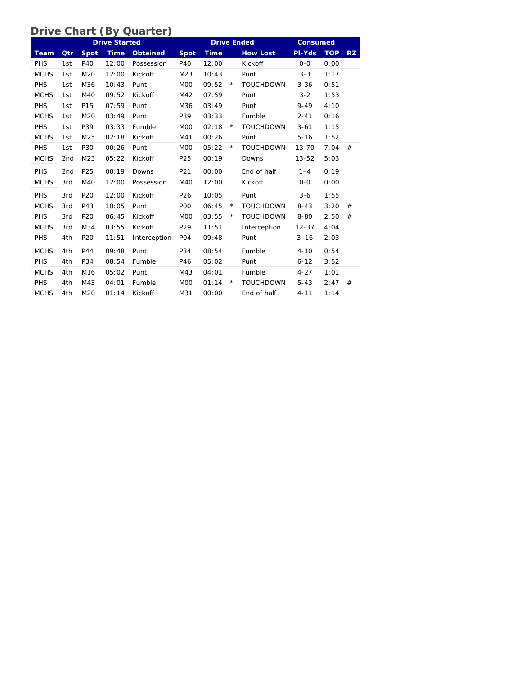### **Drive Chart (By Quarter)**

|             |                 |                 | <b>Drive Started</b> |                 |                  |             |         | <b>Drive Ended</b> | <b>Consumed</b> |            |           |
|-------------|-----------------|-----------------|----------------------|-----------------|------------------|-------------|---------|--------------------|-----------------|------------|-----------|
| <b>Team</b> | Qtr             | <b>Spot</b>     | <b>Time</b>          | <b>Obtained</b> | <b>Spot</b>      | <b>Time</b> |         | <b>How Lost</b>    | PI-Yds          | <b>TOP</b> | <b>RZ</b> |
| PHS         | 1st             | P40             | 12:00                | Possession      | P40              | 12:00       |         | Kickoff            | $0-0$           | 0:00       |           |
| <b>MCHS</b> | 1st             | M20             | 12:00                | Kickoff         | M23              | 10:43       |         | Punt               | $3 - 3$         | 1:17       |           |
| PHS         | 1st             | M36             | 10:43                | Punt            | M <sub>O</sub> O | 09:52       | $\star$ | <b>TOUCHDOWN</b>   | $3 - 36$        | 0:51       |           |
| <b>MCHS</b> | 1st             | M40             | 09:52                | Kickoff         | M42              | 07:59       |         | Punt               | $3 - 2$         | 1:53       |           |
| PHS         | 1st             | P <sub>15</sub> | 07:59                | Punt            | M36              | 03:49       |         | Punt               | $9 - 49$        | 4:10       |           |
| <b>MCHS</b> | 1st             | M20             | 03:49                | Punt            | P39              | 03:33       |         | Fumble             | $2 - 41$        | 0:16       |           |
| PHS         | 1st             | P39             | 03:33                | Fumble          | M <sub>O</sub> O | 02:18       | $\star$ | <b>TOUCHDOWN</b>   | $3 - 61$        | 1:15       |           |
| <b>MCHS</b> | 1st             | M25             | 02:18                | Kickoff         | M41              | 00:26       |         | Punt               | $5 - 16$        | 1:52       |           |
| PHS         | 1st             | P30             | 00:26                | Punt            | M <sub>0</sub>   | 05:22       | $\star$ | <b>TOUCHDOWN</b>   | $13 - 70$       | 7:04       | #         |
| <b>MCHS</b> | 2 <sub>nd</sub> | M23             | 05:22                | Kickoff         | P25              | 00:19       |         | Downs              | $13 - 52$       | 5:03       |           |
| PHS         | 2 <sub>nd</sub> | P25             | 00:19                | Downs           | P21              | 00:00       |         | End of half        | $1 - 4$         | 0:19       |           |
| <b>MCHS</b> | 3rd             | M40             | 12:00                | Possession      | M40              | 12:00       |         | Kickoff            | $O-O$           | 0:00       |           |
| PHS         | 3rd             | P <sub>20</sub> | 12:00                | Kickoff         | P <sub>26</sub>  | 10:05       |         | Punt               | $3 - 6$         | 1:55       |           |
| <b>MCHS</b> | 3rd             | P43             | 10:05                | Punt            | P <sub>O</sub>   | 06:45       | $\star$ | <b>TOUCHDOWN</b>   | $8 - 43$        | 3:20       | #         |
| PHS         | 3rd             | P <sub>20</sub> | 06:45                | Kickoff         | M <sub>O</sub> O | 03:55       | $\star$ | <b>TOUCHDOWN</b>   | $8 - 80$        | 2:50       | #         |
| <b>MCHS</b> | 3rd             | M34             | 03:55                | Kickoff         | P29              | 11:51       |         | Interception       | $12 - 37$       | 4:04       |           |
| PHS         | 4th             | P20             | 11:51                | Interception    | P <sub>O</sub> 4 | 09:48       |         | Punt               | $3 - 16$        | 2:03       |           |
| <b>MCHS</b> | 4th             | P44             | 09:48                | Punt            | P34              | 08:54       |         | Fumble             | $4 - 10$        | 0:54       |           |
| PHS         | 4th             | P34             | 08:54                | Fumble          | P46              | 05:02       |         | Punt               | $6 - 12$        | 3:52       |           |
| <b>MCHS</b> | 4th             | M16             | 05:02                | Punt            | M43              | 04:01       |         | Fumble             | $4 - 27$        | 1:01       |           |
| PHS         | 4th             | M43             | 04:01                | Fumble          | M <sub>O</sub> O | 01:14       | $\star$ | <b>TOUCHDOWN</b>   | $5 - 43$        | 2:47       | #         |
| <b>MCHS</b> | 4th             | M20             | 01:14                | Kickoff         | M31              | 00:00       |         | End of half        | $4 - 11$        | 1:14       |           |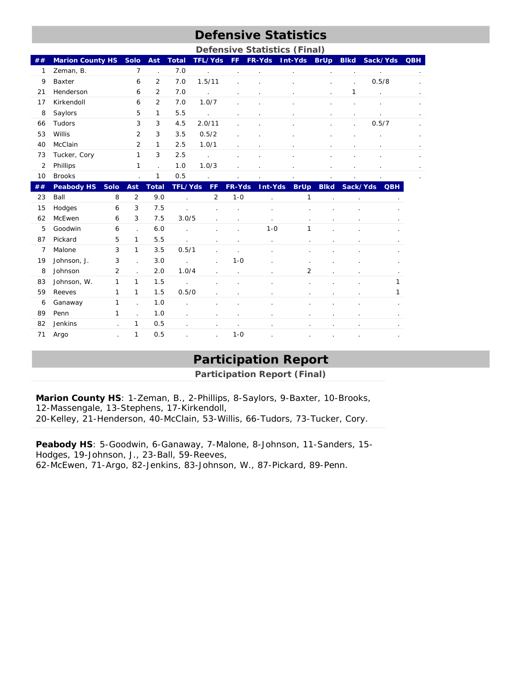## **Defensive Statistics**

|                |                                  |                      |                      |                |                      |                |                      | <b>Defensive Statistics (Final)</b> |                      |                      |                 |            |
|----------------|----------------------------------|----------------------|----------------------|----------------|----------------------|----------------|----------------------|-------------------------------------|----------------------|----------------------|-----------------|------------|
| ##             | <b>Marion County HS</b>          | <b>Solo</b>          | <b>Ast</b>           | <b>Total</b>   | <b>TFL/Yds</b>       | FF.            | FR-Yds               | Int-Yds                             | <b>BrUp</b>          | <b>Blkd</b>          | Sack/Yds        | <b>QBH</b> |
| 1              | Zeman, B.                        | $\overline{7}$       | $\ddot{\phantom{0}}$ | 7.0            | $\overline{a}$       | ÷,             | $\ddot{\phantom{a}}$ | $\cdot$                             | $\cdot$              | $\blacksquare$       | $\cdot$         |            |
| 9              | Baxter                           | 6                    | $\overline{2}$       | 7.0            | 1.5/11               | ä,             |                      | $\epsilon$                          | $\blacksquare$       | $\ddot{\phantom{a}}$ | 0.5/8           |            |
| 21             | Henderson                        | 6                    | $\overline{2}$       | 7.0            | $\ddot{\phantom{a}}$ |                |                      | $\epsilon$                          | $\ddot{\phantom{0}}$ | 1                    | ÷,              |            |
| 17             | Kirkendoll                       | 6                    | $\overline{2}$       | 7.0            | 1.0/7                | $\epsilon$     |                      | $\epsilon$                          |                      |                      |                 |            |
| 8              | Saylors                          | 5                    | 1                    | 5.5            | $\overline{a}$       | $\bullet$      | $\ddot{\phantom{a}}$ | $\cdot$                             | $\mathbf{r}$         | $\blacksquare$       | ÷.              |            |
| 66             | Tudors                           | 3                    | 3                    | 4.5            | 2.0/11               | $\blacksquare$ |                      | $\blacksquare$                      | $\bullet$            | $\epsilon$           | 0.5/7           |            |
| 53             | Willis                           | $\overline{2}$       | 3                    | 3.5            | 0.5/2                | ÷.             |                      | $\ddot{\phantom{a}}$                | $\mathbf{r}$         | $\mathbf{r}$         | $\epsilon$      |            |
| 40             | McClain                          | 2                    | 1                    | 2.5            | 1.0/1                | ä,             |                      | $\epsilon$                          | $\epsilon$           |                      |                 |            |
| 73             | Tucker, Cory                     | $\mathbf{1}$         | 3                    | 2.5            |                      |                |                      | $\epsilon$                          |                      |                      |                 |            |
| $\overline{2}$ | Phillips                         | 1                    | $\ddot{\phantom{a}}$ | 1.0            | 1.0/3                | $\overline{a}$ |                      |                                     |                      |                      |                 |            |
| 10             | <b>Brooks</b>                    | ÷,                   | 1                    | 0.5            |                      |                |                      |                                     |                      |                      |                 |            |
| ##             | <b>Peabody HS</b><br><b>Solo</b> | Ast                  | <b>Total</b>         | <b>TFL/Yds</b> | FF                   | FR-Yds         | Int-Yds              | <b>BrUp</b>                         | <b>Blkd</b>          | Sack/Yds             | <b>QBH</b>      |            |
| 23             | Ball<br>8                        | $\overline{2}$       | 9.0                  |                | $\overline{2}$       | $1 - 0$        |                      | 1                                   |                      |                      |                 |            |
| 15             | Hodges<br>6                      | 3                    | 7.5                  |                |                      |                | $\cdot$              |                                     |                      |                      |                 |            |
| 62             | McEwen<br>6                      | 3                    | 7.5                  | 3.0/5          | $\ddot{\phantom{a}}$ |                | $\cdot$              | $\mathbf{r}$                        | ä,                   | ä,                   |                 |            |
| 5              | Goodwin<br>6                     | $\ddot{\phantom{a}}$ | 6.0                  |                |                      |                | $1 - 0$              | 1                                   |                      |                      |                 |            |
| 87             | Pickard<br>5                     | $\mathbf{1}$         | 5.5                  |                |                      |                |                      |                                     |                      |                      |                 |            |
| 7              | Malone<br>3                      | 1                    | 3.5                  | 0.5/1          |                      |                |                      |                                     |                      |                      |                 |            |
| 19             | 3<br>Johnson, J.                 | $\ddot{\phantom{a}}$ | 3.0                  |                |                      | $1 - 0$        |                      |                                     |                      |                      |                 |            |
| 8              | Johnson<br>2                     | $\mathbf{r}$         | 2.0                  | 1.0/4          |                      |                |                      | 2                                   |                      |                      |                 |            |
| 83             | Johnson, W.<br>1                 | 1                    | 1.5                  | $\cdot$        |                      |                |                      | ÷.                                  |                      |                      | 1               |            |
| 59             | 1<br>Reeves                      | 1                    | 1.5                  | 0.5/0          |                      | ł.             | $\cdot$              | $\blacksquare$                      | $\epsilon$           |                      | 1<br>$\epsilon$ |            |
| 6              | 1<br>Ganaway                     | $\ddot{\phantom{a}}$ | 1.0                  | $\epsilon$     |                      |                | $\blacksquare$       |                                     |                      | ä,                   | $\cdot$         |            |
| 89             | Penn<br>1                        | $\ddot{\phantom{a}}$ | 1.0                  | $\epsilon$     |                      |                |                      |                                     |                      |                      |                 |            |
| 82             | Jenkins<br>$\overline{a}$        | 1                    | 0.5                  | ÷.             |                      | $\cdot$        | $\cdot$              |                                     |                      | ä,                   | $\cdot$         |            |
| 71             | Argo<br>÷.                       | $\mathbf{1}$         | 0.5                  |                |                      | $1 - 0$        | $\cdot$              |                                     | $\cdot$              | $\cdot$              |                 |            |

# **Participation Report**

**Participation Report (Final)** 

**Marion County HS**: 1-Zeman, B., 2-Phillips, 8-Saylors, 9-Baxter, 10-Brooks, 12-Massengale, 13-Stephens, 17-Kirkendoll, 20-Kelley, 21-Henderson, 40-McClain, 53-Willis, 66-Tudors, 73-Tucker, Cory.

**Peabody HS**: 5-Goodwin, 6-Ganaway, 7-Malone, 8-Johnson, 11-Sanders, 15- Hodges, 19-Johnson, J., 23-Ball, 59-Reeves, 62-McEwen, 71-Argo, 82-Jenkins, 83-Johnson, W., 87-Pickard, 89-Penn.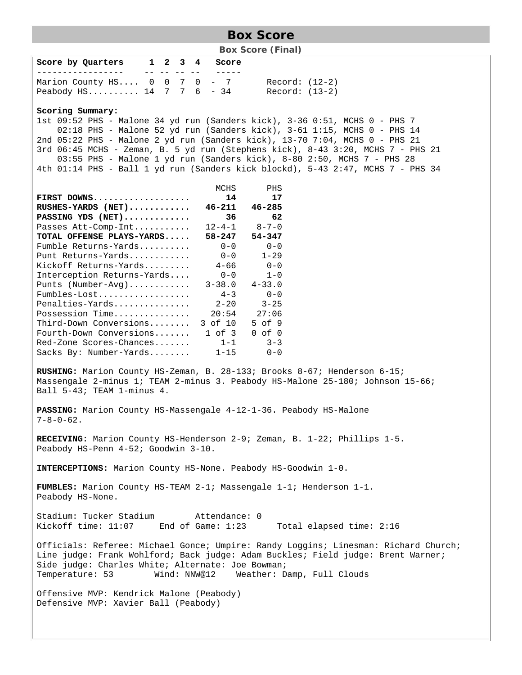### **Box Score**

**Box Score (Final)** 

| Score by Quarters                                        |  |  | 1 2 3 4 Score |                |
|----------------------------------------------------------|--|--|---------------|----------------|
|                                                          |  |  |               |                |
| Marion County HS $0 \t 0 \t 7 \t 0 \t - \t 7$            |  |  |               | Record: (12-2) |
| Peabody HS $14 \quad 7 \quad 7 \quad 6 \quad - \quad 34$ |  |  |               | Record: (13-2) |

### **Scoring Summary:**

1st 09:52 PHS - Malone 34 yd run (Sanders kick), 3-36 0:51, MCHS 0 - PHS 7 02:18 PHS - Malone 52 yd run (Sanders kick), 3-61 1:15, MCHS 0 - PHS 14 2nd 05:22 PHS - Malone 2 yd run (Sanders kick), 13-70 7:04, MCHS 0 - PHS 21 3rd 06:45 MCHS - Zeman, B. 5 yd run (Stephens kick), 8-43 3:20, MCHS 7 - PHS 21 03:55 PHS - Malone 1 yd run (Sanders kick), 8-80 2:50, MCHS 7 - PHS 28 4th 01:14 PHS - Ball 1 yd run (Sanders kick blockd), 5-43 2:47, MCHS 7 - PHS 34

|                            | MCHS         | PHS         |
|----------------------------|--------------|-------------|
| FIRST DOWNS                | 14           | 17          |
| RUSHES-YARDS (NET)         | $46 - 211$   | $46 - 285$  |
| PASSING YDS (NET)          | 36           | 62          |
| Passes Att-Comp-Int        | $12 - 4 - 1$ | $8 - 7 - 0$ |
| TOTAL OFFENSE PLAYS-YARDS  | $58 - 247$   | $54 - 347$  |
| Fumble Returns-Yards       | $0 - 0$      | $0 - 0$     |
| Punt Returns-Yards         | $0 - 0$      | $1 - 29$    |
| Kickoff Returns-Yards      | $4 - 66$     | $0 - 0$     |
| Interception Returns-Yards | $0 - 0$      | $1 - 0$     |
| Punts (Number-Avg)         | $3 - 38.0$   | $4 - 33.0$  |
| Fumbles-Lost               | $4 - 3$      | $0 - 0$     |
| Penalties-Yards            | $2 - 20$     | $3 - 25$    |
| Possession Time            | 20:54        | 27:06       |
| Third-Down Conversions     | 3 of 10      | $5$ of 9    |
| Fourth-Down Conversions    | $1$ of $3$   | of 0<br>0   |
| Red-Zone Scores-Chances    | $1 - 1$      | $3 - 3$     |
| Sacks By: Number-Yards     | $1 - 15$     | $0 - 0$     |

**RUSHING:** Marion County HS-Zeman, B. 28-133; Brooks 8-67; Henderson 6-15; Massengale 2-minus 1; TEAM 2-minus 3. Peabody HS-Malone 25-180; Johnson 15-66; Ball 5-43; TEAM 1-minus 4.

**PASSING:** Marion County HS-Massengale 4-12-1-36. Peabody HS-Malone  $7-8-0-62$ .

**RECEIVING:** Marion County HS-Henderson 2-9; Zeman, B. 1-22; Phillips 1-5. Peabody HS-Penn 4-52; Goodwin 3-10.

**INTERCEPTIONS:** Marion County HS-None. Peabody HS-Goodwin 1-0.

**FUMBLES:** Marion County HS-TEAM 2-1; Massengale 1-1; Henderson 1-1. Peabody HS-None.

Stadium: Tucker Stadium attendance: 0<br>Kickoff time: 11:07 End of Game: 1:23 Kickoff time: 11:07 End of Game: 1:23 Total elapsed time: 2:16

Officials: Referee: Michael Gonce; Umpire: Randy Loggins; Linesman: Richard Church; Line judge: Frank Wohlford; Back judge: Adam Buckles; Field judge: Brent Warner; Side judge: Charles White; Alternate: Joe Bowman; Temperature: 53 Wind: NNW@12 Weather: Damp, Full Clouds

Offensive MVP: Kendrick Malone (Peabody) Defensive MVP: Xavier Ball (Peabody)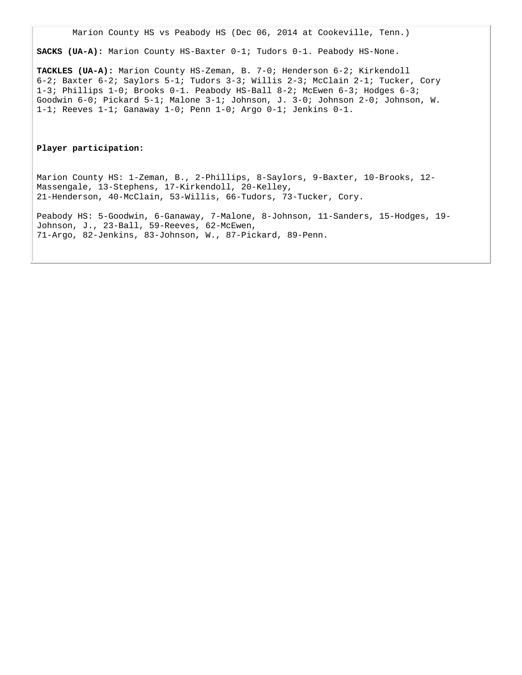Marion County HS vs Peabody HS (Dec 06, 2014 at Cookeville, Tenn.)

**SACKS (UA-A):** Marion County HS-Baxter 0-1; Tudors 0-1. Peabody HS-None.

**TACKLES (UA-A):** Marion County HS-Zeman, B. 7-0; Henderson 6-2; Kirkendoll 6-2; Baxter 6-2; Saylors 5-1; Tudors 3-3; Willis 2-3; McClain 2-1; Tucker, Cory 1-3; Phillips 1-0; Brooks 0-1. Peabody HS-Ball 8-2; McEwen 6-3; Hodges 6-3; Goodwin 6-0; Pickard 5-1; Malone 3-1; Johnson, J. 3-0; Johnson 2-0; Johnson, W. 1-1; Reeves 1-1; Ganaway 1-0; Penn 1-0; Argo 0-1; Jenkins 0-1.

#### **Player participation:**

Marion County HS: 1-Zeman, B., 2-Phillips, 8-Saylors, 9-Baxter, 10-Brooks, 12- Massengale, 13-Stephens, 17-Kirkendoll, 20-Kelley, 21-Henderson, 40-McClain, 53-Willis, 66-Tudors, 73-Tucker, Cory.

Peabody HS: 5-Goodwin, 6-Ganaway, 7-Malone, 8-Johnson, 11-Sanders, 15-Hodges, 19- Johnson, J., 23-Ball, 59-Reeves, 62-McEwen, 71-Argo, 82-Jenkins, 83-Johnson, W., 87-Pickard, 89-Penn.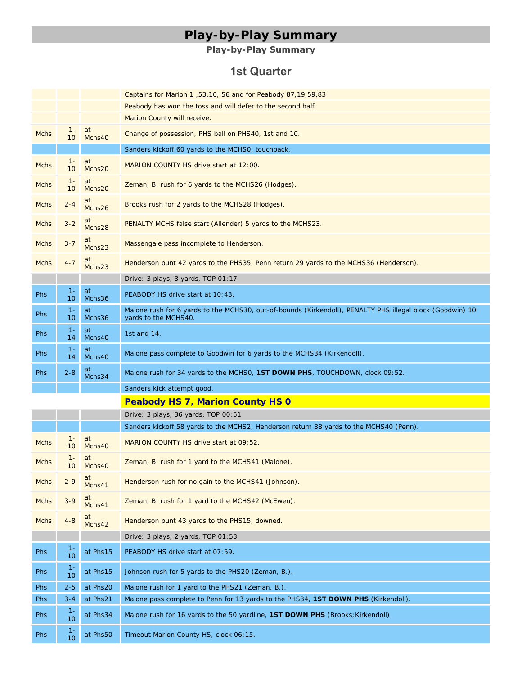# **Play-by-Play Summary**

### **Play-by-Play Summary**

### **1st Quarter**

|             |             |              | Captains for Marion 1, 53, 10, 56 and for Peabody 87, 19, 59, 83                                                                  |
|-------------|-------------|--------------|-----------------------------------------------------------------------------------------------------------------------------------|
|             |             |              | Peabody has won the toss and will defer to the second half.                                                                       |
|             |             |              | Marion County will receive.                                                                                                       |
| <b>Mchs</b> | $1 -$<br>10 | at<br>Mchs40 | Change of possession, PHS ball on PHS40, 1st and 10.                                                                              |
|             |             |              | Sanders kickoff 60 yards to the MCHS0, touchback.                                                                                 |
| <b>Mchs</b> | $1 -$<br>10 | at<br>Mchs20 | MARION COUNTY HS drive start at 12:00.                                                                                            |
| <b>Mchs</b> | $1 -$<br>10 | at<br>Mchs20 | Zeman, B. rush for 6 yards to the MCHS26 (Hodges).                                                                                |
| <b>Mchs</b> | $2 - 4$     | at<br>Mchs26 | Brooks rush for 2 yards to the MCHS28 (Hodges).                                                                                   |
| <b>Mchs</b> | $3 - 2$     | at<br>Mchs28 | PENALTY MCHS false start (Allender) 5 yards to the MCHS23.                                                                        |
| <b>Mchs</b> | $3 - 7$     | at<br>Mchs23 | Massengale pass incomplete to Henderson.                                                                                          |
| <b>Mchs</b> | $4 - 7$     | at<br>Mchs23 | Henderson punt 42 yards to the PHS35, Penn return 29 yards to the MCHS36 (Henderson).                                             |
|             |             |              | Drive: 3 plays, 3 yards, TOP 01:17                                                                                                |
| <b>Phs</b>  | $1 -$<br>10 | at<br>Mchs36 | PEABODY HS drive start at 10:43.                                                                                                  |
| <b>Phs</b>  | $1 -$<br>10 | at<br>Mchs36 | Malone rush for 6 yards to the MCHS30, out-of-bounds (Kirkendoll), PENALTY PHS illegal block (Goodwin) 10<br>yards to the MCHS40. |
| <b>Phs</b>  | $1 -$<br>14 | at<br>Mchs40 | 1st and $14$ .                                                                                                                    |
| <b>Phs</b>  | $1 -$<br>14 | at<br>Mchs40 | Malone pass complete to Goodwin for 6 yards to the MCHS34 (Kirkendoll).                                                           |
| Phs         | $2 - 8$     | at<br>Mchs34 | Malone rush for 34 yards to the MCHSO, 1ST DOWN PHS, TOUCHDOWN, clock 09:52.                                                      |
|             |             |              | Sanders kick attempt good.                                                                                                        |
|             |             |              | <b>Peabody HS 7, Marion County HS 0</b>                                                                                           |
|             |             |              | Drive: 3 plays, 36 yards, TOP 00:51                                                                                               |
|             |             |              | Sanders kickoff 58 yards to the MCHS2, Henderson return 38 yards to the MCHS40 (Penn).                                            |
| <b>Mchs</b> | $1 -$<br>10 | at<br>Mchs40 | MARION COUNTY HS drive start at 09:52.                                                                                            |
| <b>Mchs</b> | $1 -$<br>10 | at<br>Mchs40 | Zeman, B. rush for 1 yard to the MCHS41 (Malone).                                                                                 |
| <b>Mchs</b> | $2 - 9$     | at<br>Mchs41 | Henderson rush for no gain to the MCHS41 (Johnson).                                                                               |
| <b>Mchs</b> | $3 - 9$     | at<br>Mchs41 | Zeman, B. rush for 1 yard to the MCHS42 (McEwen).                                                                                 |
| <b>Mchs</b> | $4 - 8$     | at<br>Mchs42 | Henderson punt 43 yards to the PHS15, downed.                                                                                     |
|             |             |              | Drive: 3 plays, 2 yards, TOP 01:53                                                                                                |
| <b>Phs</b>  | $1 -$<br>10 | at Phs15     | PEABODY HS drive start at 07:59.                                                                                                  |
|             |             |              |                                                                                                                                   |
| Phs         | $1 -$<br>10 | at Phs15     | Johnson rush for 5 yards to the PHS20 (Zeman, B.).                                                                                |
| Phs         | $2 - 5$     | at Phs20     | Malone rush for 1 yard to the PHS21 (Zeman, B.).                                                                                  |
| Phs         | $3 - 4$     | at Phs21     | Malone pass complete to Penn for 13 yards to the PHS34, 1ST DOWN PHS (Kirkendoll).                                                |
| Phs         | $1 -$<br>10 | at Phs34     | Malone rush for 16 yards to the 50 yardline, 1ST DOWN PHS (Brooks; Kirkendoll).                                                   |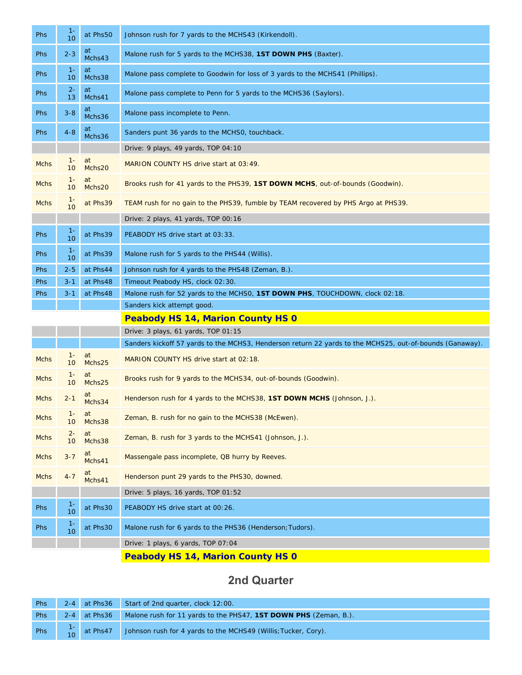| <b>Phs</b>  | $1 -$<br>10              | at Phs50     | Johnson rush for 7 yards to the MCHS43 (Kirkendoll).                                                     |
|-------------|--------------------------|--------------|----------------------------------------------------------------------------------------------------------|
| <b>Phs</b>  | $2 - 3$                  | at<br>Mchs43 | Malone rush for 5 yards to the MCHS38, 1ST DOWN PHS (Baxter).                                            |
| Phs         | $1 -$<br>10              | at<br>Mchs38 | Malone pass complete to Goodwin for loss of 3 yards to the MCHS41 (Phillips).                            |
| <b>Phs</b>  | $2 -$<br>13              | at<br>Mchs41 | Malone pass complete to Penn for 5 yards to the MCHS36 (Saylors).                                        |
| <b>Phs</b>  | $3 - 8$                  | at<br>Mchs36 | Malone pass incomplete to Penn.                                                                          |
| Phs         | $4 - 8$                  | at<br>Mchs36 | Sanders punt 36 yards to the MCHSO, touchback.                                                           |
|             |                          |              | Drive: 9 plays, 49 yards, TOP 04:10                                                                      |
| <b>Mchs</b> | $1 -$<br>10              | at<br>Mchs20 | MARION COUNTY HS drive start at 03:49.                                                                   |
| <b>Mchs</b> | $1 -$<br>10              | at<br>Mchs20 | Brooks rush for 41 yards to the PHS39, 1ST DOWN MCHS, out-of-bounds (Goodwin).                           |
| <b>Mchs</b> | $1 -$<br>10              | at Phs39     | TEAM rush for no gain to the PHS39, fumble by TEAM recovered by PHS Argo at PHS39.                       |
|             |                          |              | Drive: 2 plays, 41 yards, TOP 00:16                                                                      |
| <b>Phs</b>  | $1 -$<br>10              | at Phs39     | PEABODY HS drive start at 03:33.                                                                         |
| <b>Phs</b>  | $1 -$<br>10              | at Phs39     | Malone rush for 5 yards to the PHS44 (Willis).                                                           |
| <b>Phs</b>  | $2 - 5$                  | at Phs44     | Johnson rush for 4 yards to the PHS48 (Zeman, B.).                                                       |
| Phs         | $3 - 1$                  | at Phs48     | Timeout Peabody HS, clock 02:30.                                                                         |
| Phs         | $3 - 1$                  | at Phs48     | Malone rush for 52 yards to the MCHSO, 1ST DOWN PHS, TOUCHDOWN, clock 02:18.                             |
|             |                          |              | Sanders kick attempt good.                                                                               |
|             |                          |              | <b>Peabody HS 14, Marion County HS 0</b>                                                                 |
|             |                          |              | Drive: 3 plays, 61 yards, TOP 01:15                                                                      |
|             |                          |              | Sanders kickoff 57 yards to the MCHS3, Henderson return 22 yards to the MCHS25, out-of-bounds (Ganaway). |
| <b>Mchs</b> | $1 -$<br>10              | at<br>Mchs25 | MARION COUNTY HS drive start at 02:18.                                                                   |
| <b>Mchs</b> | $1 -$<br>10 <sup>°</sup> | at<br>Mchs25 | Brooks rush for 9 yards to the MCHS34, out-of-bounds (Goodwin).                                          |
| <b>Mchs</b> | $2 - 1$                  | at<br>Mchs34 | Henderson rush for 4 yards to the MCHS38, 1ST DOWN MCHS (Johnson, J.).                                   |
| <b>Mchs</b> | $1 -$<br>10              | at<br>Mchs38 | Zeman, B. rush for no gain to the MCHS38 (McEwen).                                                       |
| <b>Mchs</b> | $2 -$<br>10              | at<br>Mchs38 | Zeman, B. rush for 3 yards to the MCHS41 (Johnson, J.).                                                  |
| <b>Mchs</b> | $3 - 7$                  | at<br>Mchs41 | Massengale pass incomplete, QB hurry by Reeves.                                                          |
| <b>Mchs</b> | $4 - 7$                  | at<br>Mchs41 | Henderson punt 29 yards to the PHS30, downed.                                                            |
|             |                          |              | Drive: $5$ plays, 16 yards, TOP 01:52                                                                    |
| Phs         | $1 -$<br>10              | at Phs30     | PEABODY HS drive start at 00:26.                                                                         |
| Phs         | $1 -$<br>10              | at Phs30     | Malone rush for 6 yards to the PHS36 (Henderson; Tudors).                                                |

Drive: 1 plays, 6 yards, TOP 07:04

**Peabody HS 14, Marion County HS 0**

### **2nd Quarter**

|  | Phs 2-4 at Phs36 Start of 2nd quarter, clock 12:00.                                                                 |  |
|--|---------------------------------------------------------------------------------------------------------------------|--|
|  | Phs 2-4 at Phs36 Malone rush for 11 yards to the PHS47, 1ST DOWN PHS (Zeman, B.).                                   |  |
|  | Phs $\begin{bmatrix} 1 \\ 10 \end{bmatrix}$ at Phs47 Johnson rush for 4 yards to the MCHS49 (Willis; Tucker, Cory). |  |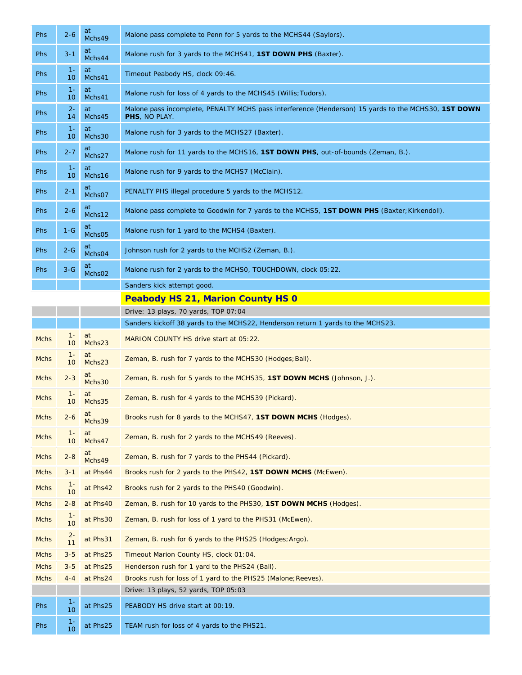| <b>Phs</b>  | $2 - 6$                  | at<br>Mchs49 | Malone pass complete to Penn for 5 yards to the MCHS44 (Saylors).                                                    |  |
|-------------|--------------------------|--------------|----------------------------------------------------------------------------------------------------------------------|--|
| <b>Phs</b>  | $3 - 1$                  | at<br>Mchs44 | Malone rush for 3 yards to the MCHS41, 1ST DOWN PHS (Baxter).                                                        |  |
| <b>Phs</b>  | $1 -$<br>10 <sup>°</sup> | at<br>Mchs41 | Timeout Peabody HS, clock 09:46.                                                                                     |  |
| <b>Phs</b>  | $1 -$<br>10              | at<br>Mchs41 | Malone rush for loss of 4 yards to the MCHS45 (Willis; Tudors).                                                      |  |
| <b>Phs</b>  | $2 -$<br>14              | at<br>Mchs45 | Malone pass incomplete, PENALTY MCHS pass interference (Henderson) 15 yards to the MCHS30, 1ST DOWN<br>PHS, NO PLAY. |  |
| <b>Phs</b>  | $1 -$<br>10              | at<br>Mchs30 | Malone rush for 3 yards to the MCHS27 (Baxter).                                                                      |  |
| <b>Phs</b>  | $2 - 7$                  | at<br>Mchs27 | Malone rush for 11 yards to the MCHS16, 1ST DOWN PHS, out-of-bounds (Zeman, B.).                                     |  |
| <b>Phs</b>  | $1 -$<br>10 <sup>°</sup> | at<br>Mchs16 | Malone rush for 9 yards to the MCHS7 (McClain).                                                                      |  |
| <b>Phs</b>  | $2 - 1$                  | at<br>Mchs07 | PENALTY PHS illegal procedure 5 yards to the MCHS12.                                                                 |  |
| <b>Phs</b>  | $2 - 6$                  | at<br>Mchs12 | Malone pass complete to Goodwin for 7 yards to the MCHS5, 1ST DOWN PHS (Baxter; Kirkendoll).                         |  |
| <b>Phs</b>  | $1-G$                    | at<br>Mchs05 | Malone rush for 1 yard to the MCHS4 (Baxter).                                                                        |  |
| <b>Phs</b>  | $2 - G$                  | at<br>Mchs04 | Johnson rush for 2 yards to the MCHS2 (Zeman, B.).                                                                   |  |
| <b>Phs</b>  | $3-G$                    | at<br>Mchs02 | Malone rush for 2 yards to the MCHSO, TOUCHDOWN, clock 05:22.                                                        |  |
|             |                          |              | Sanders kick attempt good.                                                                                           |  |
|             |                          |              | <b>Peabody HS 21, Marion County HS 0</b>                                                                             |  |
|             |                          |              | Drive: 13 plays, 70 yards, TOP 07:04                                                                                 |  |
|             |                          |              | Sanders kickoff 38 yards to the MCHS22, Henderson return 1 yards to the MCHS23.                                      |  |
| <b>Mchs</b> | $1 -$<br>10              | at<br>Mchs23 | MARION COUNTY HS drive start at 05:22.                                                                               |  |
| <b>Mchs</b> | $1 -$<br>10 <sup>°</sup> | at<br>Mchs23 | Zeman, B. rush for 7 yards to the MCHS30 (Hodges; Ball).                                                             |  |
| <b>Mchs</b> | $2 - 3$                  | at<br>Mchs30 | Zeman, B. rush for 5 yards to the MCHS35, 1ST DOWN MCHS (Johnson, J.).                                               |  |
| <b>Mchs</b> | $1 -$<br>10              | at<br>Mchs35 | Zeman, B. rush for 4 yards to the MCHS39 (Pickard).                                                                  |  |
| <b>Mchs</b> | $2 - 6$                  | at<br>Mchs39 | Brooks rush for 8 yards to the MCHS47, 1ST DOWN MCHS (Hodges).                                                       |  |
| Mchs        | $1 -$<br>10 <sup>°</sup> | at<br>Mchs47 | Zeman, B. rush for 2 yards to the MCHS49 (Reeves).                                                                   |  |
| <b>Mchs</b> | $2 - 8$                  | at<br>Mchs49 | Zeman, B. rush for 7 yards to the PHS44 (Pickard).                                                                   |  |
| <b>Mchs</b> | $3 - 1$                  | at Phs44     | Brooks rush for 2 yards to the PHS42, 1ST DOWN MCHS (McEwen).                                                        |  |
| Mchs        | $1 -$<br>10              | at Phs42     | Brooks rush for 2 yards to the PHS40 (Goodwin).                                                                      |  |
| <b>Mchs</b> | $2 - 8$                  | at Phs40     | Zeman, B. rush for 10 yards to the PHS30, 1ST DOWN MCHS (Hodges).                                                    |  |
| <b>Mchs</b> | $1 -$<br>10              | at Phs30     | Zeman, B. rush for loss of 1 yard to the PHS31 (McEwen).                                                             |  |
| <b>Mchs</b> | $rac{2}{11}$             | at Phs31     | Zeman, B. rush for 6 yards to the PHS25 (Hodges; Argo).                                                              |  |
| <b>Mchs</b> | $3 - 5$                  | at Phs25     | Timeout Marion County HS, clock 01:04.                                                                               |  |
| <b>Mchs</b> | $3 - 5$                  | at Phs25     | Henderson rush for 1 yard to the PHS24 (Ball).                                                                       |  |
| <b>Mchs</b> | $4 - 4$                  | at Phs24     | Brooks rush for loss of 1 yard to the PHS25 (Malone; Reeves).                                                        |  |
|             |                          |              | Drive: 13 plays, 52 yards, TOP 05:03                                                                                 |  |
| Phs         | $1 -$<br>10              | at Phs25     | PEABODY HS drive start at 00:19.                                                                                     |  |
| Phs         | $1 -$<br>10              | at Phs25     | TEAM rush for loss of 4 yards to the PHS21.                                                                          |  |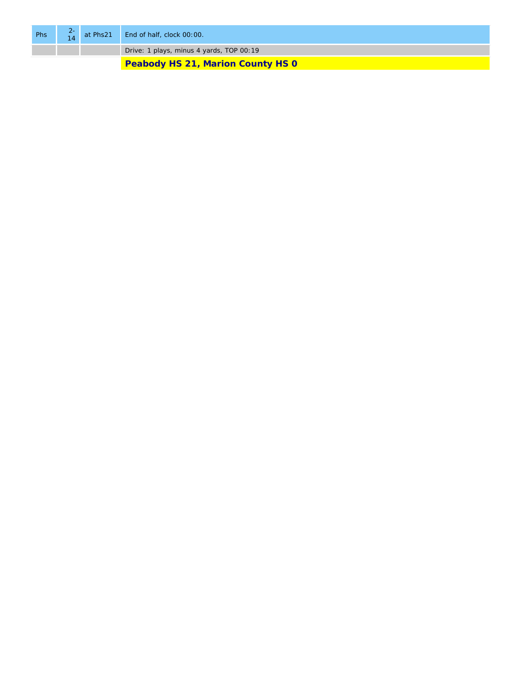| Phs | $rac{2}{14}$ | at Phs21 End of half, clock 00:00.       |  |
|-----|--------------|------------------------------------------|--|
|     |              | Drive: 1 plays, minus 4 yards, TOP 00:19 |  |
|     |              | <b>Peabody HS 21, Marion County HS 0</b> |  |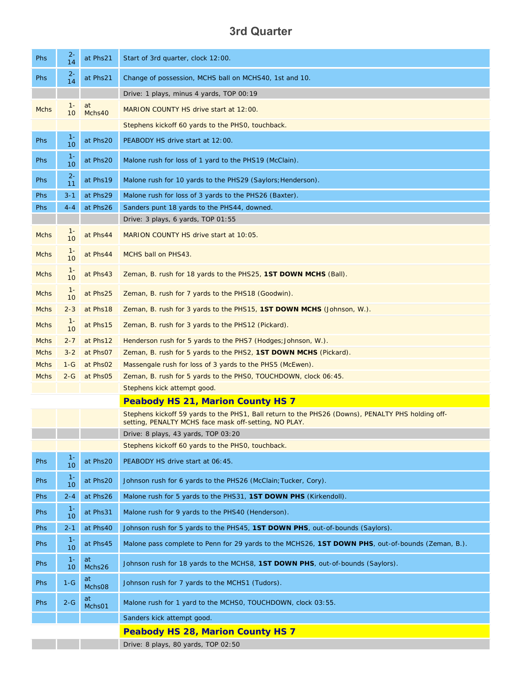### **3rd Quarter**

| <b>Phs</b>  | $2 -$<br>14                              | at Phs21                    | Start of 3rd quarter, clock 12:00.                                                                                                                         |  |
|-------------|------------------------------------------|-----------------------------|------------------------------------------------------------------------------------------------------------------------------------------------------------|--|
| <b>Phs</b>  | $2 -$<br>14                              | at Phs21                    | Change of possession, MCHS ball on MCHS40, 1st and 10.                                                                                                     |  |
|             |                                          |                             | Drive: 1 plays, minus 4 yards, TOP 00:19                                                                                                                   |  |
| <b>Mchs</b> | $1 -$<br>10                              | at<br>Mchs40                | MARION COUNTY HS drive start at 12:00.                                                                                                                     |  |
|             |                                          |                             | Stephens kickoff 60 yards to the PHSO, touchback.                                                                                                          |  |
| <b>Phs</b>  | $1 -$<br>10                              | at Phs20                    | PEABODY HS drive start at 12:00.                                                                                                                           |  |
| <b>Phs</b>  | $1 -$<br>10                              | at Phs20                    | Malone rush for loss of 1 yard to the PHS19 (McClain).                                                                                                     |  |
| <b>Phs</b>  | $2 -$<br>11                              | at Phs19                    | Malone rush for 10 yards to the PHS29 (Saylors; Henderson).                                                                                                |  |
| Phs         | $3 - 1$                                  | at Phs29                    | Malone rush for loss of 3 yards to the PHS26 (Baxter).                                                                                                     |  |
| <b>Phs</b>  | $4 - 4$                                  | at Phs26                    | Sanders punt 18 yards to the PHS44, downed.                                                                                                                |  |
|             |                                          |                             | Drive: 3 plays, 6 yards, TOP 01:55                                                                                                                         |  |
| <b>Mchs</b> | $1 -$<br>10                              | at Phs44                    | MARION COUNTY HS drive start at 10:05.                                                                                                                     |  |
| <b>Mchs</b> | $1 -$<br>10                              | at Phs44                    | MCHS ball on PHS43.                                                                                                                                        |  |
| <b>Mchs</b> | $1 -$<br>10                              | at Phs43                    | Zeman, B. rush for 18 yards to the PHS25, 1ST DOWN MCHS (Ball).                                                                                            |  |
| <b>Mchs</b> | $1 -$<br>10                              | at Phs25                    | Zeman, B. rush for 7 yards to the PHS18 (Goodwin).                                                                                                         |  |
| <b>Mchs</b> | $2 - 3$                                  | at Phs18                    | Zeman, B. rush for 3 yards to the PHS15, <b>1ST DOWN MCHS</b> (Johnson, W.).                                                                               |  |
| <b>Mchs</b> | $1 -$<br>10                              | at Phs15                    | Zeman, B. rush for 3 yards to the PHS12 (Pickard).                                                                                                         |  |
| <b>Mchs</b> | $2 - 7$                                  | at Phs12                    | Henderson rush for 5 yards to the PHS7 (Hodges; Johnson, W.).                                                                                              |  |
| <b>Mchs</b> | $3 - 2$                                  | at Phs07                    | Zeman, B. rush for 5 yards to the PHS2, 1ST DOWN MCHS (Pickard).                                                                                           |  |
| <b>Mchs</b> | $1-G$                                    | at Phs02                    | Massengale rush for loss of 3 yards to the PHS5 (McEwen).                                                                                                  |  |
| <b>Mchs</b> | $2-G$                                    | at Phs05                    | Zeman, B. rush for 5 yards to the PHSO, TOUCHDOWN, clock 06:45.                                                                                            |  |
|             |                                          | Stephens kick attempt good. |                                                                                                                                                            |  |
|             | <b>Peabody HS 21, Marion County HS 7</b> |                             |                                                                                                                                                            |  |
|             |                                          |                             | Stephens kickoff 59 yards to the PHS1, Ball return to the PHS26 (Downs), PENALTY PHS holding off-<br>setting, PENALTY MCHS face mask off-setting, NO PLAY. |  |
|             |                                          |                             | Drive: 8 plays, 43 yards, TOP 03:20                                                                                                                        |  |
|             |                                          |                             | Stephens kickoff 60 yards to the PHS0, touchback.                                                                                                          |  |
| Phs         | $1 -$<br>10                              | at Phs20                    | PEABODY HS drive start at 06:45.                                                                                                                           |  |
| Phs         | $1 -$<br>10                              | at Phs20                    | Johnson rush for 6 yards to the PHS26 (McClain; Tucker, Cory).                                                                                             |  |
| <b>Phs</b>  | $2 - 4$                                  | at Phs26                    | Malone rush for 5 yards to the PHS31, 1ST DOWN PHS (Kirkendoll).                                                                                           |  |
| <b>Phs</b>  | $1 -$<br>10                              | at Phs31                    | Malone rush for 9 yards to the PHS40 (Henderson).                                                                                                          |  |
| <b>Phs</b>  | $2 - 1$                                  | at Phs40                    | Johnson rush for 5 yards to the PHS45, 1ST DOWN PHS, out-of-bounds (Saylors).                                                                              |  |
| Phs         | $1 -$<br>10                              | at Phs45                    | Malone pass complete to Penn for 29 yards to the MCHS26, 1ST DOWN PHS, out-of-bounds (Zeman, B.).                                                          |  |
| <b>Phs</b>  | $1 -$<br>10                              | at<br>Mchs26                | Johnson rush for 18 yards to the MCHS8, 1ST DOWN PHS, out-of-bounds (Saylors).                                                                             |  |
| <b>Phs</b>  | $1-G$                                    | at<br>Mchs08                | Johnson rush for 7 yards to the MCHS1 (Tudors).                                                                                                            |  |
| Phs         | $2-G$                                    | at<br>Mchs01                | Malone rush for 1 yard to the MCHSO, TOUCHDOWN, clock 03:55.                                                                                               |  |
|             |                                          |                             | Sanders kick attempt good.                                                                                                                                 |  |
|             |                                          |                             | <b>Peabody HS 28, Marion County HS 7</b>                                                                                                                   |  |
|             |                                          |                             | Drive: 8 plays, 80 yards, TOP 02:50                                                                                                                        |  |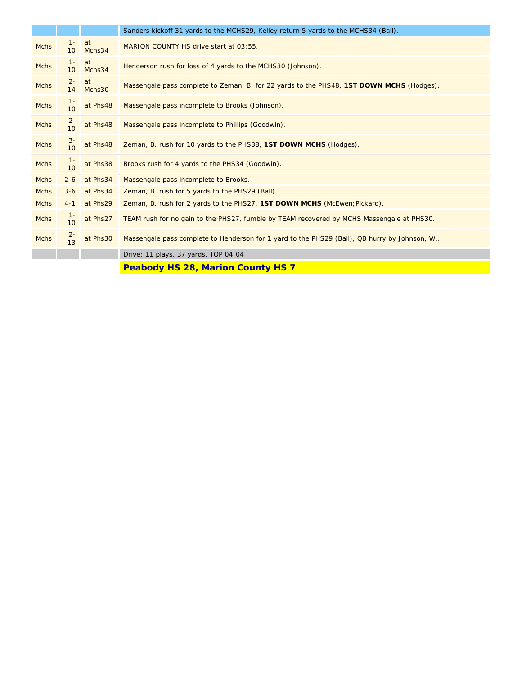|             |                          |              | Sanders kickoff 31 yards to the MCHS29, Kelley return 5 yards to the MCHS34 (Ball).          |  |
|-------------|--------------------------|--------------|----------------------------------------------------------------------------------------------|--|
| <b>Mchs</b> | $1 -$<br>10 <sup>°</sup> | at<br>Mchs34 | MARION COUNTY HS drive start at 03:55.                                                       |  |
| <b>Mchs</b> | $1 -$<br>10 <sup>°</sup> | at<br>Mchs34 | Henderson rush for loss of 4 yards to the MCHS30 (Johnson).                                  |  |
| <b>Mchs</b> | $2 -$<br>14              | at<br>Mchs30 | Massengale pass complete to Zeman, B. for 22 yards to the PHS48, 1ST DOWN MCHS (Hodges).     |  |
| <b>Mchs</b> | $1 -$<br>10              | at Phs48     | Massengale pass incomplete to Brooks (Johnson).                                              |  |
| <b>Mchs</b> | $rac{2}{10}$             | at Phs48     | Massengale pass incomplete to Phillips (Goodwin).                                            |  |
| <b>Mchs</b> | $\frac{3}{10}$           | at Phs48     | Zeman, B. rush for 10 yards to the PHS38, 1ST DOWN MCHS (Hodges).                            |  |
| <b>Mchs</b> | $\frac{1}{10}$           | at Phs38     | Brooks rush for 4 yards to the PHS34 (Goodwin).                                              |  |
| <b>Mchs</b> | $2 - 6$                  | at Phs34     | Massengale pass incomplete to Brooks.                                                        |  |
| <b>Mchs</b> | $3 - 6$                  | at Phs34     | Zeman, B. rush for 5 yards to the PHS29 (Ball).                                              |  |
| <b>Mchs</b> | $4 - 1$                  | at Phs29     | Zeman, B. rush for 2 yards to the PHS27, 1ST DOWN MCHS (McEwen; Pickard).                    |  |
| <b>Mchs</b> | $1 -$<br>10              | at Phs27     | TEAM rush for no gain to the PHS27, fumble by TEAM recovered by MCHS Massengale at PHS30.    |  |
| <b>Mchs</b> | $rac{2}{13}$             | at Phs30     | Massengale pass complete to Henderson for 1 yard to the PHS29 (Ball), QB hurry by Johnson, W |  |
|             |                          |              | Drive: 11 plays, 37 yards, TOP 04:04                                                         |  |
|             |                          |              |                                                                                              |  |

**Peabody HS 28, Marion County HS 7 Peabody HS 28, Marion County HS 7**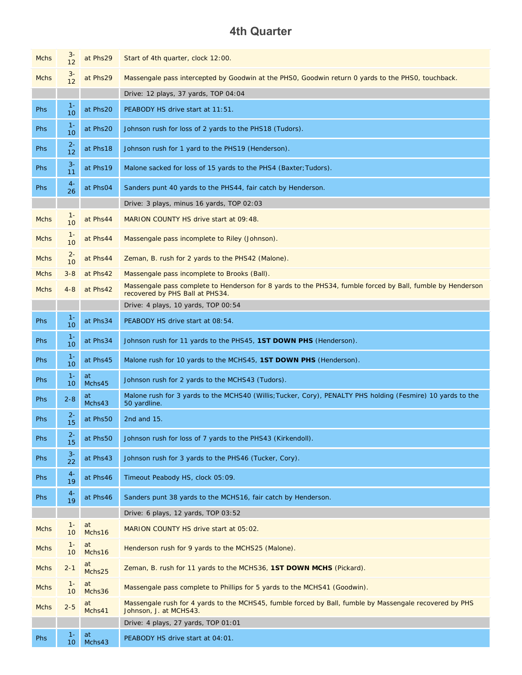### **4th Quarter**

| <b>Mchs</b> | $rac{3}{12}$              | at Phs29     | Start of 4th quarter, clock 12:00.                                                                                                            |  |
|-------------|---------------------------|--------------|-----------------------------------------------------------------------------------------------------------------------------------------------|--|
| <b>Mchs</b> | $\frac{3}{12}$            | at Phs29     | Massengale pass intercepted by Goodwin at the PHS0, Goodwin return 0 yards to the PHS0, touchback.                                            |  |
|             |                           |              | Drive: 12 plays, 37 yards, TOP 04:04                                                                                                          |  |
| Phs         | $1 -$<br>10               | at Phs20     | PEABODY HS drive start at 11:51.                                                                                                              |  |
| Phs         | $1 -$<br>10               | at Phs20     | Johnson rush for loss of 2 yards to the PHS18 (Tudors).                                                                                       |  |
| Phs         | $2 -$<br>12               | at Phs18     | Johnson rush for 1 yard to the PHS19 (Henderson).                                                                                             |  |
| Phs         | $3-$<br>11                | at Phs19     | Malone sacked for loss of 15 yards to the PHS4 (Baxter; Tudors).                                                                              |  |
| Phs         | $4-$<br>26                | at Phs04     | Sanders punt 40 yards to the PHS44, fair catch by Henderson.                                                                                  |  |
|             |                           |              | Drive: 3 plays, minus 16 yards, TOP 02:03                                                                                                     |  |
| <b>Mchs</b> | $1 -$<br>10               | at Phs44     | MARION COUNTY HS drive start at 09:48.                                                                                                        |  |
| Mchs        | $1 -$<br>10               | at Phs44     | Massengale pass incomplete to Riley (Johnson).                                                                                                |  |
| <b>Mchs</b> | $2 -$<br>10               | at Phs44     | Zeman, B. rush for 2 yards to the PHS42 (Malone).                                                                                             |  |
| Mchs        | $3 - 8$                   | at Phs42     | Massengale pass incomplete to Brooks (Ball).                                                                                                  |  |
| Mchs        | $4 - 8$                   | at Phs42     | Massengale pass complete to Henderson for 8 yards to the PHS34, fumble forced by Ball, fumble by Henderson<br>recovered by PHS Ball at PHS34. |  |
|             |                           |              | Drive: 4 plays, 10 yards, TOP 00:54                                                                                                           |  |
| Phs         | $1 -$<br>10 <sup>10</sup> | at Phs34     | PEABODY HS drive start at 08:54.                                                                                                              |  |
| Phs         | $1 -$<br>10               | at Phs34     | Johnson rush for 11 yards to the PHS45, 1ST DOWN PHS (Henderson).                                                                             |  |
| Phs         | $1 -$<br>10               | at Phs45     | Malone rush for 10 yards to the MCHS45, 1ST DOWN PHS (Henderson).                                                                             |  |
| Phs         | $1 -$<br>10 <sup>°</sup>  | at<br>Mchs45 | Johnson rush for 2 yards to the MCHS43 (Tudors).                                                                                              |  |
| Phs         | $2 - 8$                   | at<br>Mchs43 | Malone rush for 3 yards to the MCHS40 (Willis; Tucker, Cory), PENALTY PHS holding (Fesmire) 10 yards to the<br>50 yardline.                   |  |
| <b>Phs</b>  | $2 -$<br>15               | at Phs50     | 2nd and 15.                                                                                                                                   |  |
| Phs         | $2 -$<br>15               | at Phs50     | Johnson rush for loss of 7 yards to the PHS43 (Kirkendoll).                                                                                   |  |
| Phs         | $3-$<br>22                | at Phs43     | Johnson rush for 3 yards to the PHS46 (Tucker, Cory).                                                                                         |  |
| Phs         | $4-$<br>19                | at Phs46     | Timeout Peabody HS, clock 05:09.                                                                                                              |  |
| Phs         | $4-$<br>19                | at Phs46     | Sanders punt 38 yards to the MCHS16, fair catch by Henderson.                                                                                 |  |
|             |                           |              | Drive: 6 plays, 12 yards, TOP 03:52                                                                                                           |  |
| <b>Mchs</b> | $1 -$<br>10               | at<br>Mchs16 | MARION COUNTY HS drive start at 05:02.                                                                                                        |  |
| <b>Mchs</b> | $1 -$<br>10 <sup>°</sup>  | at<br>Mchs16 | Henderson rush for 9 yards to the MCHS25 (Malone).                                                                                            |  |
| Mchs        | $2 - 1$                   | at<br>Mchs25 | Zeman, B. rush for 11 yards to the MCHS36, 1ST DOWN MCHS (Pickard).                                                                           |  |
| <b>Mchs</b> | $1 -$<br>10               | at<br>Mchs36 | Massengale pass complete to Phillips for 5 yards to the MCHS41 (Goodwin).                                                                     |  |
| <b>Mchs</b> | $2 - 5$                   | at<br>Mchs41 | Massengale rush for 4 yards to the MCHS45, fumble forced by Ball, fumble by Massengale recovered by PHS<br>Johnson, J. at MCHS43.             |  |
|             |                           |              | Drive: 4 plays, 27 yards, TOP 01:01                                                                                                           |  |
| <b>Phs</b>  | $1 -$<br>10 <sup>°</sup>  | at<br>Mchs43 | PEABODY HS drive start at 04:01.                                                                                                              |  |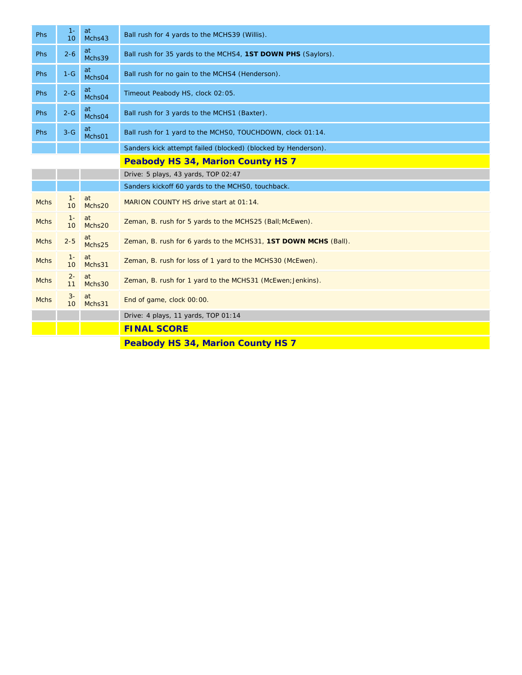| <b>Phs</b>  | $1 -$<br>10              | at<br>Mchs43 | Ball rush for 4 yards to the MCHS39 (Willis).                   |  |  |
|-------------|--------------------------|--------------|-----------------------------------------------------------------|--|--|
| Phs         | $2 - 6$                  | at<br>Mchs39 | Ball rush for 35 yards to the MCHS4, 1ST DOWN PHS (Saylors).    |  |  |
| <b>Phs</b>  | $1-G$                    | at<br>Mchs04 | Ball rush for no gain to the MCHS4 (Henderson).                 |  |  |
| Phs         | $2 - G$                  | at<br>Mchs04 | Timeout Peabody HS, clock 02:05.                                |  |  |
| <b>Phs</b>  | $2 - G$                  | at<br>Mchs04 | Ball rush for 3 yards to the MCHS1 (Baxter).                    |  |  |
| Phs         | $3-G$                    | at<br>Mchs01 | Ball rush for 1 yard to the MCHSO, TOUCHDOWN, clock 01:14.      |  |  |
|             |                          |              | Sanders kick attempt failed (blocked) (blocked by Henderson).   |  |  |
|             |                          |              | <b>Peabody HS 34, Marion County HS 7</b>                        |  |  |
|             |                          |              | Drive: 5 plays, 43 yards, TOP 02:47                             |  |  |
|             |                          |              | Sanders kickoff 60 yards to the MCHS0, touchback.               |  |  |
| <b>Mchs</b> | $1 -$<br>10              | at<br>Mchs20 | MARION COUNTY HS drive start at 01:14.                          |  |  |
| <b>Mchs</b> | $1 -$<br>10 <sup>°</sup> | at<br>Mchs20 | Zeman, B. rush for 5 yards to the MCHS25 (Ball; McEwen).        |  |  |
| <b>Mchs</b> | $2 - 5$                  | at<br>Mchs25 | Zeman, B. rush for 6 yards to the MCHS31, 1ST DOWN MCHS (Ball). |  |  |
| <b>Mchs</b> | $1 -$<br>10 <sup>°</sup> | at<br>Mchs31 | Zeman, B. rush for loss of 1 yard to the MCHS30 (McEwen).       |  |  |
| <b>Mchs</b> | $2 -$<br>11              | at<br>Mchs30 | Zeman, B. rush for 1 yard to the MCHS31 (McEwen; Jenkins).      |  |  |
| <b>Mchs</b> | $3-$<br>10               | at<br>Mchs31 | End of game, clock 00:00.                                       |  |  |
|             |                          |              | Drive: 4 plays, 11 yards, TOP 01:14                             |  |  |
|             |                          |              | <b>FINAL SCORE</b>                                              |  |  |
|             |                          |              |                                                                 |  |  |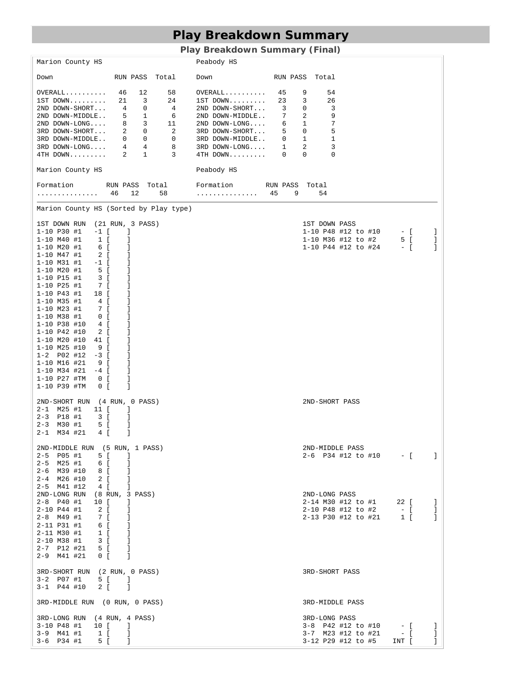# **Play Breakdown Summary**

### **Play Breakdown Summary (Final)**

| Marion County HS                                                                                                                                                                                                                                                                                                                                                                                                                                                                                                                                                                                                                                                                                                                                                                                                                 | Peabody HS                                                                                                                                                                                                                                                                                                                                                           |                                                                                                                                                                                               |
|----------------------------------------------------------------------------------------------------------------------------------------------------------------------------------------------------------------------------------------------------------------------------------------------------------------------------------------------------------------------------------------------------------------------------------------------------------------------------------------------------------------------------------------------------------------------------------------------------------------------------------------------------------------------------------------------------------------------------------------------------------------------------------------------------------------------------------|----------------------------------------------------------------------------------------------------------------------------------------------------------------------------------------------------------------------------------------------------------------------------------------------------------------------------------------------------------------------|-----------------------------------------------------------------------------------------------------------------------------------------------------------------------------------------------|
| RUN PASS Total<br>Down                                                                                                                                                                                                                                                                                                                                                                                                                                                                                                                                                                                                                                                                                                                                                                                                           | Down                                                                                                                                                                                                                                                                                                                                                                 | RUN PASS Total                                                                                                                                                                                |
| $OVERALL$ 46 12<br>58<br>$1ST$ DOWN $21$ 3<br>24<br>21 DOWN-SHORT 4 0 4<br>2ND DOWN-SHORT 4 0 4<br>2ND DOWN-MIDDLE 5 1 6<br>2ND DOWN-LONG 8 3 11<br>3RD DOWN-SHORT 2 0 2<br>3RD DOWN-MIDDLE 0 0 0<br>3RD DOWN-MIDDLE 4 4 8<br>4TH DOWN 2 1 3                                                                                                                                                                                                                                                                                                                                                                                                                                                                                                                                                                                     | $OVERALL$ 45<br>$1ST$ DOWN $23$<br>$2ND$ DOWN-SHORT 3<br>2ND DOWN-MIDDLE 7<br>$2ND\texttt{ DOMN-LONG}\dots \qquad \  \  \, 6 \qquad \  \  1$<br>$\begin{tabular}{llll} 3RD & DOWN-SHORT. & 5 & 0 \\ 3RD & DOWN-MIDDLE. . & 0 & 1 \\ \end{tabular}$<br>$\begin{tabular}{llllll} 3RD & DOWN-LONG. \dots & 1 & 2 \\ 4TH & DOWN. \dots & \dots & 0 & 0 \\ \end{tabular}$ | $\frac{9}{3}$<br>54<br>26<br>$\mathbf 0$<br>3<br>2<br>9<br>$\begin{array}{c} 7 \\ 5 \end{array}$<br>$\frac{3}{1}$<br>3<br>$\overline{\phantom{0}}$                                            |
| Marion County HS                                                                                                                                                                                                                                                                                                                                                                                                                                                                                                                                                                                                                                                                                                                                                                                                                 | Peabody HS                                                                                                                                                                                                                                                                                                                                                           |                                                                                                                                                                                               |
| Formation MUN PASS Total Formation RUN PASS Total<br>. 46                                                                                                                                                                                                                                                                                                                                                                                                                                                                                                                                                                                                                                                                                                                                                                        | $12 \t 58 \t \ldots \ldots \ldots \ldots \t 45 \t 9$                                                                                                                                                                                                                                                                                                                 | 54                                                                                                                                                                                            |
| Marion County HS (Sorted by Play type)                                                                                                                                                                                                                                                                                                                                                                                                                                                                                                                                                                                                                                                                                                                                                                                           |                                                                                                                                                                                                                                                                                                                                                                      |                                                                                                                                                                                               |
| 1ST DOWN RUN (21 RUN, 3 PASS)<br>$1 - 10$ P30 #1<br>$-1$ [<br>J.<br>$1 - 10$ M40 #1<br>$1\left[$<br>J<br>$1 - 10$ M20 #1<br>6 [<br>J<br>$1 - 10$ M47 #1<br>$\overline{2}$ [<br>J.<br>$1 - 10$ M31 #1<br>$-1$ [<br>J.<br>$1 - 10$ M20 #1<br>5 <sup>5</sup><br>-1<br>$\overline{\phantom{a}3}$ [<br>$1 - 10$ P15 #1<br>J.<br>$1 - 10$ P25 #1<br>7 [<br>J.<br>$1 - 10$ P43 #1<br>18 [<br>J.<br>1-10 M35 #1<br>4 [<br>J.<br>7 [<br>$1 - 10$ M23 #1<br>-1<br>$1 - 10$ M38 #1<br>$0$ [<br>J<br>$1 - 10$ P38 #10<br>4 [<br>J<br>$1 - 10$ P42 #10<br>2 [<br>J.<br>$1 - 10$ M20 #10<br>41 [<br>J<br>$1 - 10$ M25 #10<br>9[<br>J<br>$1 - 2$ P02 #12<br>$-3$ [<br>J.<br>$1 - 10$ M16 #21<br>9[<br>J.<br>$1 - 10$ M34 #21<br>$-4$ [<br>J.<br>$1 - 10$ P27 #TM<br>$\begin{array}{cc} 0 & \end{array}$<br>J.<br>I<br>$1 - 10$ P39 #TM<br>$0$ [ |                                                                                                                                                                                                                                                                                                                                                                      | 1ST DOWN PASS<br>$1-10$ P48 #12 to #10 $-$ [ ]<br>1-10 M36 #12 to #2 5 [<br>1-10 P44 #12 to #24 - [<br>-1<br>-1                                                                               |
| 2ND-SHORT RUN (4 RUN, 0 PASS)<br>$2 - 1$ M25 #1<br>11 [<br>-1<br>$2 - 3$ P18 #1<br>3 [<br>J.<br>2-3 M30 #1<br>5 [<br>J<br>J<br>$2 - 1$ M34 #21<br>4 [                                                                                                                                                                                                                                                                                                                                                                                                                                                                                                                                                                                                                                                                            |                                                                                                                                                                                                                                                                                                                                                                      | 2ND-SHORT PASS                                                                                                                                                                                |
| 2ND-MIDDLE RUN (5 RUN, 1 PASS)<br>2-5 P05 #1<br>5 [<br>-1<br>6 [<br>2-5 M25 #1<br>1<br>2-6 M39 #10 8 [<br>1<br>$2 - 4$ M26 #10<br>$2\left[$<br>1<br>$2-5$ M41 #12<br>4 [<br>I                                                                                                                                                                                                                                                                                                                                                                                                                                                                                                                                                                                                                                                    |                                                                                                                                                                                                                                                                                                                                                                      | 2ND-MIDDLE PASS<br>$2-6$ P34 #12 to #10 $-$ [ ]                                                                                                                                               |
| 2ND-LONG RUN<br>(8 RUN, 3 PASS)<br>2-8 P40 #1<br>10 [<br>J.<br>2-10 P44 #1<br>2 [<br>-1<br>7 [<br>$2 - 8$ M49 #1<br>1<br>$2 - 11$ P31 #1<br>6 [<br>$\Box$<br>$1 \quad$<br>2-11 M30 #1<br>$\Box$<br>2-10 M38 #1<br>3 [<br>$\Box$<br>$2 - 7$ P12 #21 5 [<br>-1<br>$2-9$ M41 #21<br>$0$ [<br>$\sim$ 1                                                                                                                                                                                                                                                                                                                                                                                                                                                                                                                               |                                                                                                                                                                                                                                                                                                                                                                      | 2ND-LONG PASS<br>2-14 M30 #12 to #1 22 [<br>-1<br>$  \left[ \begin{array}{cc} 1 \end{array} \right]$<br>2-10 P48 #12 to #2<br>-1<br>2-13 P30 #12 to #21<br>$\mathbf{I}$<br>$1 \left[ \right]$ |
| 3RD-SHORT RUN (2 RUN, 0 PASS)<br>$3-2$ P07 #1<br>5 [ ]<br>$3 - 1$ P44 #10<br>2 [ ]                                                                                                                                                                                                                                                                                                                                                                                                                                                                                                                                                                                                                                                                                                                                               |                                                                                                                                                                                                                                                                                                                                                                      | 3RD-SHORT PASS                                                                                                                                                                                |
| 3RD-MIDDLE RUN (0 RUN, 0 PASS)                                                                                                                                                                                                                                                                                                                                                                                                                                                                                                                                                                                                                                                                                                                                                                                                   |                                                                                                                                                                                                                                                                                                                                                                      | 3RD-MIDDLE PASS                                                                                                                                                                               |
| 3RD-LONG RUN (4 RUN, 4 PASS)<br>3-10 P48 #1<br>10 [<br>$\blacksquare$<br>3-9 M41 #1<br>1 [<br>$\mathbf{I}$<br>$3-6$ P34 #1<br>5 [<br>T                                                                                                                                                                                                                                                                                                                                                                                                                                                                                                                                                                                                                                                                                           |                                                                                                                                                                                                                                                                                                                                                                      | 3RD-LONG PASS<br>3-8 P42 #12 to #10 - [<br>Ι.<br>3-7 M23 #12 to #21 - [<br>J.<br>3-12 P29 #12 to #5<br>INT [<br>$\mathbf{I}$                                                                  |